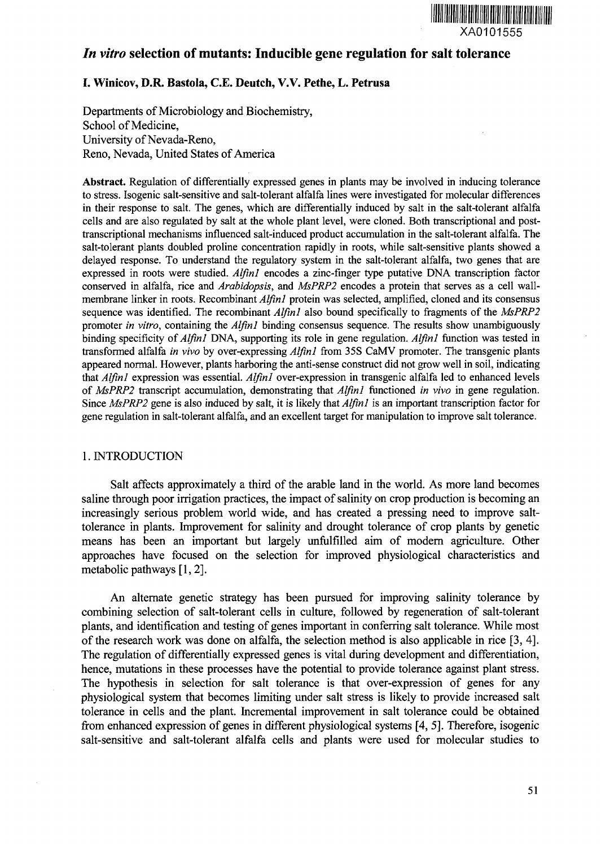

# *In vitro* selection of mutants: Inducible gene regulation for salt tolerance

# **I. Winicov, D.R. Bastola, C.E. Deutch, V.V. Pethe, L. Petrusa**

Departments of Microbiology and Biochemistry, School of Medicine, University of Nevada-Reno, Reno, Nevada, United States of America

Abstract. Regulation of differentially expressed genes in plants may be involved in inducing tolerance to stress. Isogenic salt-sensitive and salt-tolerant alfalfa lines were investigated for molecular differences in their response to salt. The genes, which are differentially induced by salt in the salt-tolerant alfalfa cells and are also regulated by salt at the whole plant level, were cloned. Both transcriptional and posttranscriptional mechanisms influenced salt-induced product accumulation in the salt-tolerant alfalfa. The salt-tolerant plants doubled proline concentration rapidly in roots, while salt-sensitive plants showed a delayed response. To understand the regulatory system in the salt-tolerant alfalfa, two genes that are expressed in roots were studied. *Alfinl* encodes a zinc-finger type putative DNA transcription factor conserved in alfalfa, rice and *Arabidopsis,* and *MsPRP2* encodes a protein that serves as a cell wallmembrane linker in roots. Recombinant *Alfinl* protein was selected, amplified, cloned and its consensus sequence was identified. The recombinant *Alfinl* also bound specifically to fragments of the *MsPRP2* promoter *in vitro,* containing the *Alfinl* binding consensus sequence. The results show unambiguously binding specificity of *Alfinl* DNA, supporting its role in gene regulation. *Alfinl* function was tested in transformed alfalfa *in vivo* by over-expressing *Alfinl* from 35S CaMV promoter. The transgenic plants appeared normal. However, plants harboring the anti-sense construct did not grow well in soil, indicating that *Alfinl* expression was essential. *Alfinl* over-expression in transgenic alfalfa led to enhanced levels of *MsPRP2* transcript accumulation, demonstrating that *Alfinl* functioned *in vivo* in gene regulation. Since *MsPRP2* gene is also induced by salt, it is likely that *Alfinl* is an important transcription factor for gene regulation in salt-tolerant alfalfa, and an excellent target for manipulation to improve salt tolerance.

## 1. INTRODUCTION

Salt affects approximately a third of the arable land in the world. As more land becomes saline through poor irrigation practices, the impact of salinity on crop production is becoming an increasingly serious problem world wide, and has created a pressing need to improve salttolerance in plants. Improvement for salinity and drought tolerance of crop plants by genetic means has been an important but largely unfulfilled aim of modern agriculture. Other approaches have focused on the selection for improved physiological characteristics and metabolic pathways [1,2].

An alternate genetic strategy has been pursued for improving salinity tolerance by combining selection of salt-tolerant cells in culture, followed by regeneration of salt-tolerant plants, and identification and testing of genes important in conferring salt tolerance. While most of the research work was done on alfalfa, the selection method is also applicable in rice [3, 4]. The regulation of differentially expressed genes is vital during development and differentiation, hence, mutations in these processes have the potential to provide tolerance against plant stress. The hypothesis in selection for salt tolerance is that over-expression of genes for any physiological system that becomes limiting under salt stress is likely to provide increased salt tolerance in cells and the plant. Incremental improvement in salt tolerance could be obtained from enhanced expression of genes in different physiological systems [4, 5]. Therefore, isogenic salt-sensitive and salt-tolerant alfalfa cells and plants were used for molecular studies to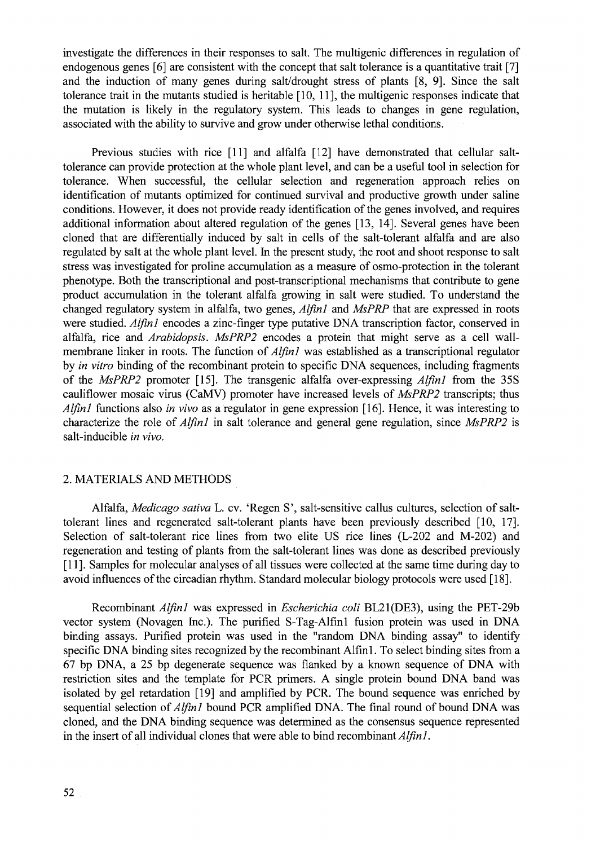investigate the differences in their responses to salt. The multigenic differences in regulation of endogenous genes [6] are consistent with the concept that salt tolerance is a quantitative trait [7] and the induction of many genes during salt/drought stress of plants [8, 9]. Since the salt tolerance trait in the mutants studied is heritable [10, 11], the multigenic responses indicate that the mutation is likely in the regulatory system. This leads to changes in gene regulation, associated with the ability to survive and grow under otherwise lethal conditions.

Previous studies with rice [11] and alfalfa [12] have demonstrated that cellular salttolerance can provide protection at the whole plant level, and can be a useful tool in selection for tolerance. When successful, the cellular selection and regeneration approach relies on identification of mutants optimized for continued survival and productive growth under saline conditions. However, it does not provide ready identification of the genes involved, and requires additional information about altered regulation of the genes [13, 14]. Several genes have been cloned that are differentially induced by salt in cells of the salt-tolerant alfalfa and are also regulated by salt at the whole plant level. In the present study, the root and shoot response to salt stress was investigated for proline accumulation as a measure of osmo-protection in the tolerant phenotype. Both the transcriptional and post-transcriptional mechanisms that contribute to gene product accumulation in the tolerant alfalfa growing in salt were studied. To understand the changed regulatory system in alfalfa, two genes, *Alfinl* and *MsPRP* that are expressed in roots were studied. *Alfinl* encodes a zinc-finger type putative DNA transcription factor, conserved in alfalfa, rice and *Arabidopsis. MsPRP2* encodes a protein that might serve as a cell wallmembrane linker in roots. The function of *Alfinl* was established as a transcriptional regulator by *in vitro* binding of the recombinant protein to specific DNA sequences, including fragments of the *MsPRP2* promoter [15]. The transgenic alfalfa over-expressing *Alfinl* from the 35S cauliflower mosaic virus (CaMV) promoter have increased levels of *MsPRP2* transcripts; thus *Alfinl* functions also *in vivo* as a regulator in gene expression [16]. Hence, it was interesting to characterize the role of *Alfinl* in salt tolerance and general gene regulation, since *MsPRP2* is salt-inducible *in vivo.*

### 2. MATERIALS AND METHODS

Alfalfa, *Medicago sativa* L. cv. 'Regen S', salt-sensitive callus cultures, selection of salttolerant lines and regenerated salt-tolerant plants have been previously described [10, 17]. Selection of salt-tolerant rice lines from two elite US rice lines (L-202 and M-202) and regeneration and testing of plants from the salt-tolerant lines was done as described previously [11]. Samples for molecular analyses of all tissues were collected at the same time during day to avoid influences of the circadian rhythm. Standard molecular biology protocols were used [18].

Recombinant *Alfinl* was expressed in *Escherichia coli* BL21(DE3), using the PET-29b vector system (Novagen Inc.). The purified S-Tag-Alfinl fusion protein was used in DNA binding assays. Purified protein was used in the "random DNA binding assay" to identify specific DNA binding sites recognized by the recombinant Alfinl. To select binding sites from a 67 bp DNA, a 25 bp degenerate sequence was flanked by a known sequence of DNA with restriction sites and the template for PCR primers. A single protein bound DNA band was isolated by gel retardation [19] and amplified by PCR. The bound sequence was enriched by sequential selection *of Alfinl* bound PCR amplified DNA. The final round of bound DNA was cloned, and the DNA binding sequence was determined as the consensus sequence represented in the insert of all individual clones that were able to bind recombinant *A Ifinl.*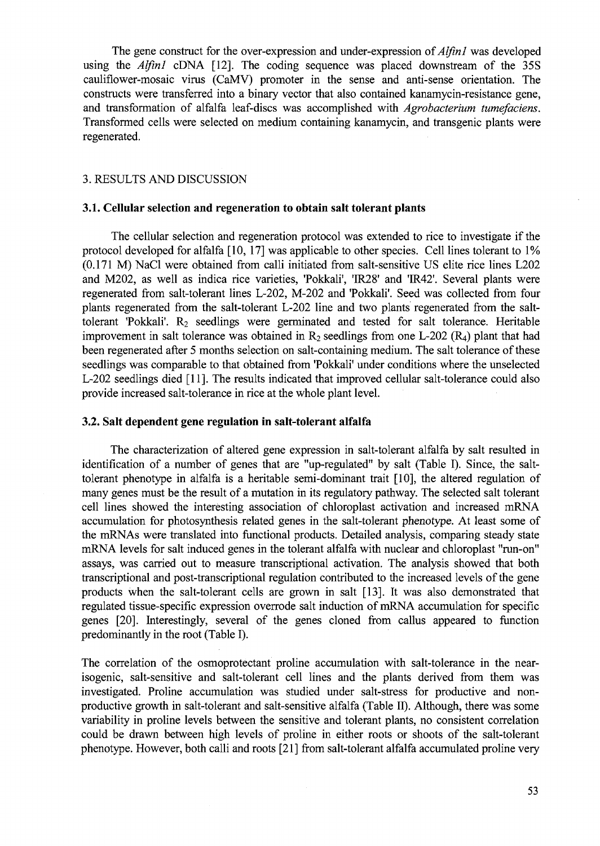The gene construct for the over-expression and under-expression of *Alfinl* was developed using the *Alfinl* cDNA [12]. The coding sequence was placed downstream of the 35S cauliflower-mosaic virus (CaMV) promoter in the sense and anti-sense orientation. The constructs were transferred into a binary vector that also contained kanamycin-resistance gene, and transformation of alfalfa leaf-discs was accomplished with *Agrobacterium tumefaciens.* Transformed cells were selected on medium containing kanamycin, and transgenic plants were regenerated.

### 3. RESULTS AND DISCUSSION

### **3.1. Cellular selection and regeneration to obtain salt tolerant plants**

The cellular selection and regeneration protocol was extended to rice to investigate if the protocol developed for alfalfa [10, 17] was applicable to other species. Cell lines tolerant to 1% (0.171 M) NaCl were obtained from calli initiated from salt-sensitive US elite rice lines L202 and M202, as well as indica rice varieties, 'Pokkali', TR28' and 'IR42'. Several plants were regenerated from salt-tolerant lines L-202, M-202 and 'Pokkali'. Seed was collected from four plants regenerated from the salt-tolerant L-202 line and two plants regenerated from the salttolerant 'Pokkali'. R<sub>2</sub> seedlings were germinated and tested for salt tolerance. Heritable improvement in salt tolerance was obtained in  $R_2$  seedlings from one L-202 ( $R_4$ ) plant that had been regenerated after 5 months selection on salt-containing medium. The salt tolerance of these seedlings was comparable to that obtained from 'Pokkali' under conditions where the unselected L-202 seedlings died [11]. The results indicated that improved cellular salt-tolerance could also provide increased salt-tolerance in rice at the whole plant level.

#### **3.2. Salt dependent gene regulation in salt-tolerant alfalfa**

The characterization of altered gene expression in salt-tolerant alfalfa by salt resulted in identification of a number of genes that are "up-regulated" by salt (Table I). Since, the salttolerant phenotype in alfalfa is a heritable semi-dominant trait [10], the altered regulation of many genes must be the result of a mutation in its regulatory pathway. The selected salt tolerant cell lines showed the interesting association of chloroplast activation and increased mRNA accumulation for photosynthesis related genes in the salt-tolerant phenotype. At least some of the mRNAs were translated into functional products. Detailed analysis, comparing steady state mRNA levels for salt induced genes in the tolerant alfalfa with nuclear and chloroplast "run-on" assays, was carried out to measure transcriptional activation. The analysis showed that both transcriptional and post-transcriptional regulation contributed to the increased levels of the gene products when the salt-tolerant cells are grown in salt [13]. It was also demonstrated that regulated tissue-specific expression overrode salt induction of mRNA accumulation for specific genes [20]. Interestingly, several of the genes cloned from callus appeared to function predominantly in the root (Table I).

The correlation of the osmoprotectant proline accumulation with salt-tolerance in the nearisogenic, salt-sensitive and salt-tolerant cell lines and the plants derived from them was investigated. Proline accumulation was studied under salt-stress for productive and nonproductive growth in salt-tolerant and salt-sensitive alfalfa (Table II). Although, there was some variability in proline levels between the sensitive and tolerant plants, no consistent correlation could be drawn between high levels of proline in either roots or shoots of the salt-tolerant phenotype. However, both calli and roots [21] from salt-tolerant alfalfa accumulated proline very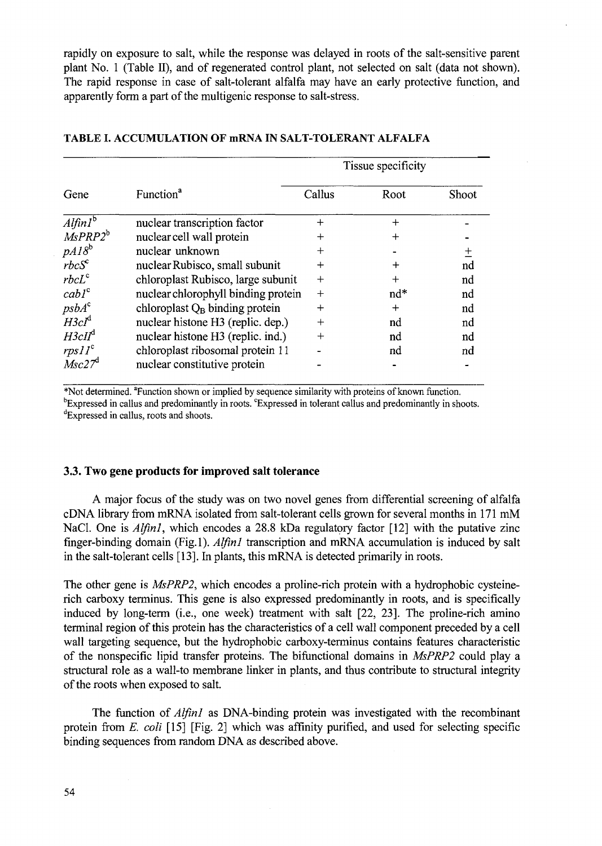rapidly on exposure to salt, while the response was delayed in roots of the salt-sensitive parent plant No. 1 (Table II), and of regenerated control plant, not selected on salt (data not shown). The rapid response in case of salt-tolerant alfalfa may have an early protective function, and apparently form a part of the multigenic response to salt-stress.

| Gene                             | Function <sup>a</sup>               | Tissue specificity |                  |       |
|----------------------------------|-------------------------------------|--------------------|------------------|-------|
|                                  |                                     | Callus             | Root             | Shoot |
| $Alfinl^b$                       | nuclear transcription factor        | $\, +$             | $\boldsymbol{+}$ |       |
| $MsPRP2^b$                       | nuclear cell wall protein           | ┿                  | ┿                |       |
| $pA18^b$                         | nuclear unknown                     | ┿                  |                  | $\pm$ |
| $rbcS^c$                         | nuclear Rubisco, small subunit      | $^{+}$             | ┿                | nd    |
| $rbcL^c$                         | chloroplast Rubisco, large subunit  | $+$                | $\boldsymbol{+}$ | nd    |
| cabl <sup>c</sup>                | nuclear chlorophyll binding protein | $+$                | $nd*$            | nd    |
| psbA <sup>c</sup>                | chloroplast $Q_B$ binding protein   | $+$                | $\ddot{}$        | nd    |
| $H3cI^d$                         | nuclear histone H3 (replic. dep.)   | $^{+}$             | nd               | nd    |
| $H3cIf^d$                        | nuclear histone H3 (replic. ind.)   | $+$                | nd               | nd    |
| rpsII <sup>c</sup>               | chloroplast ribosomal protein 11    |                    | nd               | nd    |
| $\overline{M}$ sc27 <sup>d</sup> | nuclear constitutive protein        |                    |                  |       |

### **TABLE I. ACCUMULATION OF mRNA IN SALT-TOLERANT ALFALFA**

\*Not determined. <sup>a</sup>Function shown or implied by sequence similarity with proteins of known function. <sup>b</sup>Expressed in callus and predominantly in roots. <sup>c</sup>Expressed in tolerant callus and predominantly in shoots. <sup>d</sup>Expressed in callus, roots and shoots.

#### **3.3. Two gene products for improved salt tolerance**

A major focus of the study was on two novel genes from differential screening of alfalfa cDNA library from mRNA isolated from salt-tolerant cells grown for several months in 171 mM NaCl. One is *Alfin1*, which encodes a 28.8 kDa regulatory factor [12] with the putative zinc finger-binding domain (Fig.l). *Alfinl* transcription and mRNA accumulation is induced by salt in the salt-tolerant cells [13]. In plants, this mRNA is detected primarily in roots.

The other gene is *MsPRP2,* which encodes a proline-rich protein with a hydrophobic cysteinerich carboxy terminus. This gene is also expressed predominantly in roots, and is specifically induced by long-term (i.e., one week) treatment with salt [22, 23]. The proline-rich amino terminal region of this protein has the characteristics of a cell wall component preceded by a cell wall targeting sequence, but the hydrophobic carboxy-terminus contains features characteristic of the nonspecific lipid transfer proteins. The bifunctional domains in *MsPRP2* could play a structural role as a wall-to membrane linker in plants, and thus contribute to structural integrity of the roots when exposed to salt.

The function *of Alfinl* as DNA-binding protein was investigated with the recombinant protein from *E. coli* [15] [Fig. 2] which was affinity purified, and used for selecting specific binding sequences from random DNA as described above.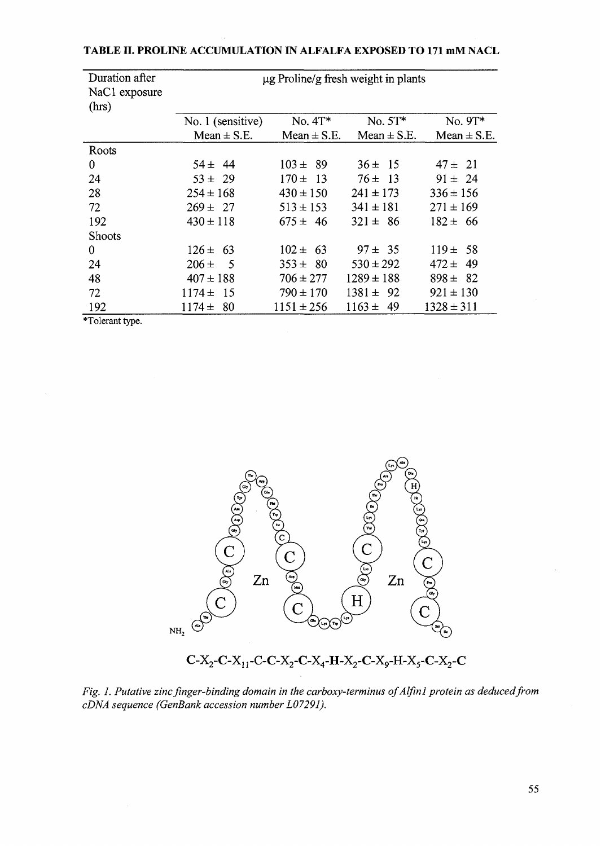| Duration after<br>NaC1 exposure<br>(hrs) | $\mu$ g Proline/g fresh weight in plants |                 |                 |                 |
|------------------------------------------|------------------------------------------|-----------------|-----------------|-----------------|
|                                          | No. 1 (sensitive)                        | No. $4T^*$      | $No. 5T*$       | No. 9T*         |
|                                          | $Mean \pm S.E.$                          | $Mean \pm S.E.$ | Mean $\pm$ S.E. | $Mean \pm S.E.$ |
| Roots                                    |                                          |                 |                 |                 |
| 0                                        | $54 \pm 44$                              | $103 \pm 89$    | $36 \pm 15$     | $47 \pm 21$     |
| 24                                       | $53 \pm 29$                              | $170 \pm 13$    | $76 \pm 13$     | $91 \pm 24$     |
| 28                                       | $254 \pm 168$                            | $430 \pm 150$   | $241 \pm 173$   | $336 \pm 156$   |
| 72                                       | $269 \pm 27$                             | $513 \pm 153$   | $341 \pm 181$   | $271 \pm 169$   |
| 192                                      | $430 \pm 118$                            | $675 \pm 46$    | $321 \pm 86$    | $182 \pm 66$    |
| <b>Shoots</b>                            |                                          |                 |                 |                 |
| $\bf{0}$                                 | $126 \pm 63$                             | $102 \pm 63$    | $97 \pm 35$     | $119 \pm 58$    |
| 24                                       | $206 \pm$<br>- 5                         | $353 \pm 80$    | $530 \pm 292$   | $472 +$<br>-49  |
| 48                                       | $407 \pm 188$                            | $706 \pm 277$   | $1289 \pm 188$  | $898 \pm 82$    |
| 72                                       | $1174 \pm 15$                            | $790 \pm 170$   | $1381 \pm 92$   | $921 \pm 130$   |
| 192                                      | $1174 \pm 80$                            | $1151 \pm 256$  | $1163 \pm 49$   | $1328 \pm 311$  |

### TABLE II. PROLINE ACCUMULATION IN ALFALFA EXPOSED TO 171 mM NACL

\*Tolerant type.



*Fig. 1. Putative zinc finger-binding domain in the carboxy-terminus ofAlfinl protein as deduced from cDNA sequence (GenBank accession number L07291).*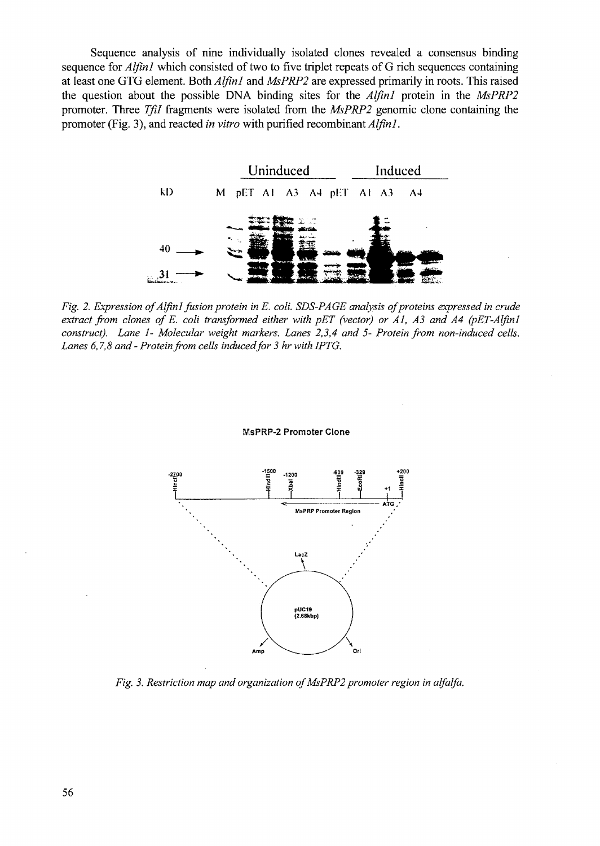Sequence analysis of nine individually isolated clones revealed a consensus binding sequence for *Alfinl* which consisted of two to five triplet repeats of G rich sequences containing at least one GTG element. Both *Alfinl* and *MsPRP2* are expressed primarily in roots. This raised the question about the possible DNA binding sites for the *Alfinl* protein in the *MsPRP2* promoter. Three *Tfil* fragments were isolated from the *MsPRP2* genomic clone containing the promoter (Fig. 3), and reacted *in vitro* with purified recombinant *Alfin1*.



*Fig. 2. Expression of Alfinl fusion protein in E. coli. SDS-PAGE analysis of proteins expressed in crude extract from clones of E. coli transformed either with pET (vector) or Al, A3 and A4 (pET-Alfinl construct). Lane 1- Molecular weight markers. Lanes 2,3,4 and 5- Protein from non-induced cells. Lanes 6,7,8 and- Protein from cells induced for 3 hr with IPTG.*

#### MsPRP-2 Promoter Clone



*Fig. 3. Restriction map and organization of MsPRP2 promoter region in alfalfa.*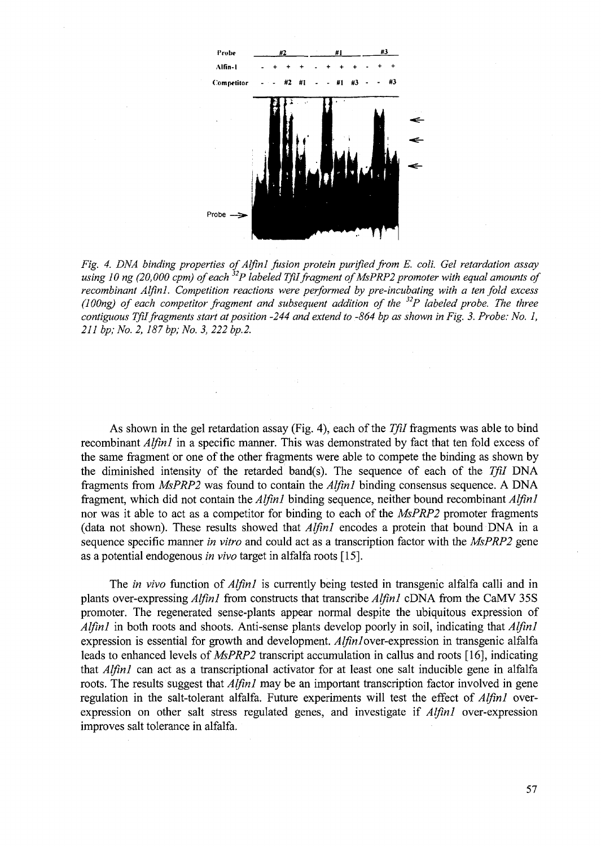

*Fig. 4. DNA binding properties of Alfinl fusion protein purified from E. coli. Gel retardation assay using 10 ng (20,000 cpm) of each<sup>32</sup>P labeled Tfilfragment of MsPRP2 promoter with equal amounts of recombinant Alfinl. Competition reactions were performed by pre-incubating with a ten fold excess (lOOng) of each competitor fragment and subsequent addition of the<sup>32</sup>P labeled probe. The three contiguous Tfil fragments start at position -244 and extend to -864 bp as shown in Fig. 3. Probe: No. 1, 211 bp; No. 2, 187 bp; No. 3, 222 bp.2.*

As shown in the gel retardation assay (Fig. 4), each of the *Tfil* fragments was able to bind recombinant *Alfinl* in a specific manner. This was demonstrated by fact that ten fold excess of the same fragment or one of the other fragments were able to compete the binding as shown by the diminished intensity of the retarded band(s). The sequence of each of the *Tfil* DNA fragments from *MsPRP2* was found to contain the *Alfinl* binding consensus sequence. A DNA fragment, which did not contain the *Alfinl* binding sequence, neither bound recombinant *Alfinl* nor was it able to act as a competitor for binding to each of the *MsPRP2* promoter fragments (data not shown). These results showed that *Alfinl* encodes a protein that bound DNA in a sequence specific manner *in vitro* and could act as a transcription factor with the *MsPRP2* gene as a potential endogenous *in vivo* target in alfalfa roots [15].

The *in vivo* function of *Alfinl* is currently being tested in transgenic alfalfa calli and in plants over-expressing *Alfinl* from constructs that transcribe *Alfinl* cDNA from the CaMV 35S promoter. The regenerated sense-plants appear normal despite the ubiquitous expression of *Alfinl* in both roots and shoots. Anti-sense plants develop poorly in soil, indicating that *Alfinl* expression is essential for growth and development.  $Alfin/over$ -expression in transgenic alfalfa leads to enhanced levels of *MsPRP2* transcript accumulation in callus and roots [16], indicating that *Alfinl* can act as a transcriptional activator for at least one salt inducible gene in alfalfa roots. The results suggest that *Alfinl* may be an important transcription factor involved in gene regulation in the salt-tolerant alfalfa. Future experiments will test the effect of *Alfinl* overexpression on other salt stress regulated genes, and investigate if *Alfinl* over-expression improves salt tolerance in alfalfa.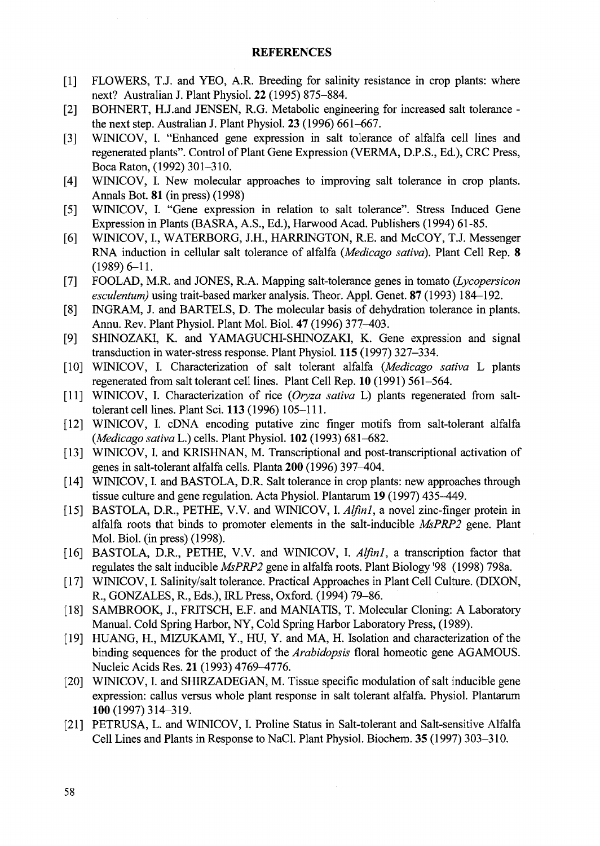### **REFERENCES**

- [1] FLOWERS, T.J. and YEO, A.R. Breeding for salinity resistance in crop plants: where next? Australian J. Plant Physiol. **22** (1995) 875-884.
- [2] BOHNERT, H.J.and JENSEN, R.G. Metabolic engineering for increased salt tolerance the next step. Australian J. Plant Physiol. **23** (1996) 661-667.
- [3] WINICOV, I. "Enhanced gene expression in salt tolerance of alfalfa cell lines and regenerated plants". Control of Plant Gene Expression (VERMA, D.P.S., Ed.), CRC Press, Boca Raton, (1992) 301-310.
- [4] WINICOV, I. New molecular approaches to improving salt tolerance in crop plants. Annals Bot. 81 (in press) (1998)
- [5] WINICOV, I. "Gene expression in relation to salt tolerance". Stress Induced Gene Expression in Plants (BASRA, A.S., Ed.), Harwood Acad. Publishers (1994) 61-85.
- [6] WINICOV, I., WATERBORG, J.H., HARRINGTON, R.E. and McCOY, T.J. Messenger RNA induction in cellular salt tolerance of alfalfa *(Medicago sativa).* Plant Cell Rep. 8  $(1989) 6 - 11.$
- [7] FOOLAD, M.R. and JONES, R.A. Mapping salt-tolerance genes in tomato *{Lycopersicon esculentum)* using trait-based marker analysis. Theor. Appl. Genet. 87 (1993) 184-192.
- [8] INGRAM, J. and BARTELS, D. The molecular basis of dehydration tolerance in plants. Annu. Rev. Plant Physiol. Plant Mol. Biol. 47 (1996) 377-403.
- [9] SHINOZAKI, K. and YAMAGUCHI-SHINOZAKI, K. Gene expression and signal transduction in water-stress response. Plant Physiol. **115** (1997) 327-334.
- [10] WINICOV, I. Characterization of salt tolerant alfalfa *{Medicago sativa L* plants regenerated from salt tolerant cell lines. Plant Cell Rep. 10 (1991) 561-564.
- [11] WINICOV, I. Characterization of rice (Oryza sativa L) plants regenerated from salttolerant cell lines. Plant Sci. **113** (1996) 105-111.
- [12] WINICOV, I. cDNA encoding putative zinc finger motifs from salt-tolerant alfalfa *{Medicago sativa* L.) cells. Plant Physiol. **102** (1993) 681-682.
- [13] WINICOV, I. and KRISHNAN, M. Transcriptional and post-transcriptional activation of genes in salt-tolerant alfalfa cells. Planta **200** (1996) 397-404.
- [14] WINICOV, I. and BASTOLA, D.R. Salt tolerance in crop plants: new approaches through tissue culture and gene regulation. Acta Physiol. Plantarum 19 (1997) 435-449.
- [15] BASTOLA, D.R., PETHE, V.V. and WINICOV, I. *Alfin1*, a novel zinc-finger protein in alfalfa roots that binds to promoter elements in the salt-inducible *MsPRP2* gene. Plant Mol. Biol. (in press) (1998).
- [16] BASTOLA, D.R., PETHE, V.V. and WINICOV, I. Alfin1, a transcription factor that regulates the salt inducible *MsPRP2* gene in alfalfa roots. Plant Biology '98 (1998) 798a.
- [17] WINICOV, I. Salinity/salt tolerance. Practical Approaches in Plant Cell Culture. (DIXON, R., GONZALES, R., Eds.), IRL Press, Oxford. (1994) 79-86.
- [18] SAMBROOK, J., FRITSCH, E.F. and MANIATIS, T. Molecular Cloning: A Laboratory Manual. Cold Spring Harbor, NY, Cold Spring Harbor Laboratory Press, (1989).
- [19] HUANG, H., MIZUKAMI, Y., HU, Y. and MA, H. Isolation and characterization of the binding sequences for the product of the *Arabidopsis* floral homeotic gene AGAMOUS. Nucleic Acids Res. 21 (1993) 4769-4776.
- [20] WINICOV, I. and SHIRZADEGAN, M. Tissue specific modulation of salt inducible gene expression: callus versus whole plant response in salt tolerant alfalfa. Physiol. Plantarum 100(1997)314-319.
- [21] PETRUSA, L. and WINICOV, I. Proline Status in Salt-tolerant and Salt-sensitive Alfalfa Cell Lines and Plants in Response to NaCl. Plant Physiol. Biochem. **35** (1997) 303-310.